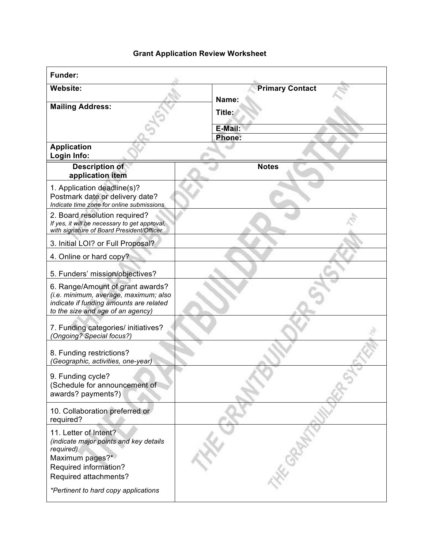## **Grant Application Review Worksheet**

| Funder:                                                                                                                                                   |                                      |
|-----------------------------------------------------------------------------------------------------------------------------------------------------------|--------------------------------------|
| <b>Website:</b>                                                                                                                                           | <b>Primary Contact</b>               |
| <b>Mailing Address:</b>                                                                                                                                   | Name:<br>Title:<br>E-Mail:<br>Phone: |
| <b>Application</b><br>Login Info:                                                                                                                         |                                      |
| <b>Description of</b><br>application item                                                                                                                 | <b>Notes</b>                         |
| 1. Application deadline(s)?<br>Postmark date or delivery date?<br>Indicate time zone for online submissions                                               |                                      |
| 2. Board resolution required?<br>If yes, it will be necessary to get approval,<br>with signature of Board President/Officer                               |                                      |
| 3. Initial LOI? or Full Proposal?                                                                                                                         |                                      |
| 4. Online or hard copy?                                                                                                                                   |                                      |
| 5. Funders' mission/objectives?                                                                                                                           |                                      |
| 6. Range/Amount of grant awards?<br>(i.e. minimum, average, maximum; also<br>indicate if funding amounts are related<br>to the size and age of an agency) |                                      |
| 7. Funding categories/ initiatives?<br>(Ongoing? Special focus?)                                                                                          |                                      |
| 8. Funding restrictions?<br>(Geographic, activities, one-year)                                                                                            |                                      |
| 9. Funding cycle?<br>(Schedule for announcement of<br>awards? payments?)                                                                                  |                                      |
| 10. Collaboration preferred or<br>required?                                                                                                               |                                      |
| 11. Letter of Intent?<br>(indicate major points and key details<br>required)<br>Maximum pages?*<br>Required information?<br>Required attachments?         | E                                    |
| *Pertinent to hard copy applications                                                                                                                      |                                      |